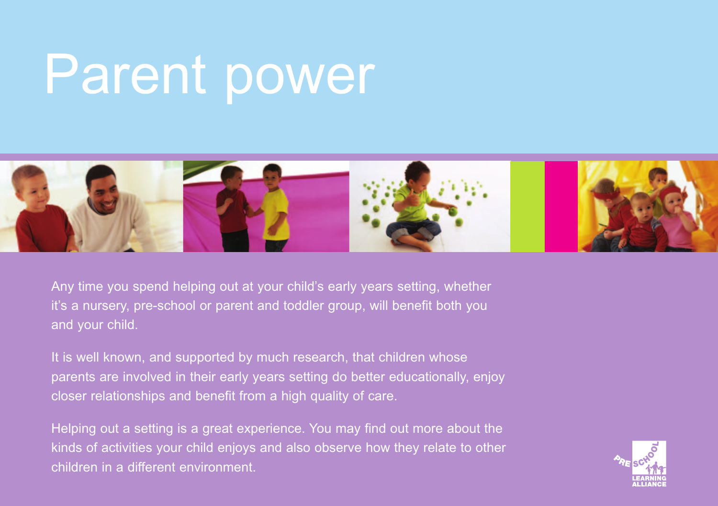# Parent power



Any time you spend helping out at your child's early years setting, whether it's a nursery, pre-school or parent and toddler group, will benefit both you and your child.

It is well known, and supported by much research, that children whose parents are involved in their early years setting do better educationally, enjoy closer relationships and benefit from a high quality of care.

Helping out a setting is a great experience. You may find out more about the kinds of activities your child enjoys and also observe how they relate to other children in a different environment.

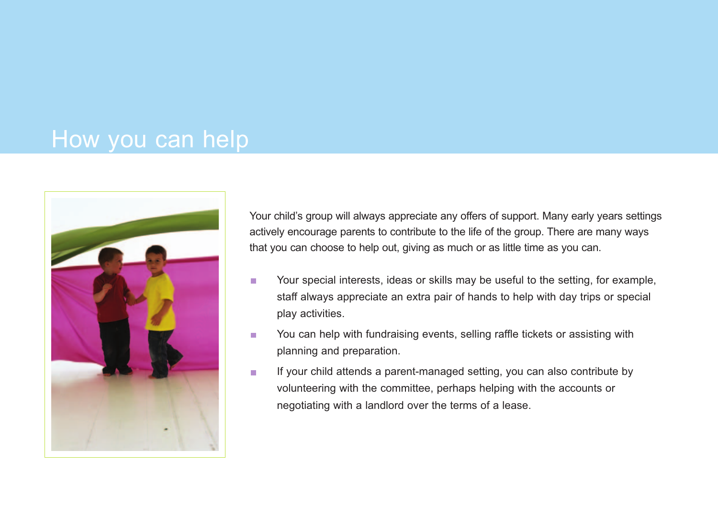### How you can help



Your child's group will always appreciate any offers of support. Many early years settings actively encourage parents to contribute to the life of the group. There are many ways that you can choose to help out, giving as much or as little time as you can.

- Your special interests, ideas or skills may be useful to the setting, for example,  $\mathcal{L}_{\mathcal{A}}$ staff always appreciate an extra pair of hands to help with day trips or special play activities.
- You can help with fundraising events, selling raffle tickets or assisting with  $\mathcal{L}_{\mathcal{A}}$ planning and preparation.
- If your child attends a parent-managed setting, you can also contribute by **The State** volunteering with the committee, perhaps helping with the accounts or negotiating with a landlord over the terms of a lease.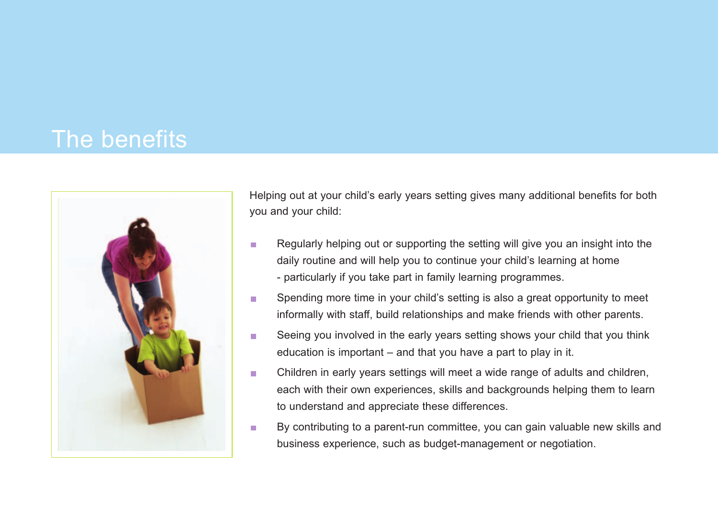## The benefits



Helping out at your child's early years setting gives many additional benefits for both you and your child:

- Regularly helping out or supporting the setting will give you an insight into the  $\mathbf{r}$ daily routine and will help you to continue your child's learning at home - particularly if you take part in family learning programmes.
- Spending more time in your child's setting is also a great opportunity to meet  $\mathcal{L}_{\mathcal{A}}$ informally with staff, build relationships and make friends with other parents.
- Seeing you involved in the early years setting shows your child that you think m. education is important – and that you have a part to play in it.
- Children in early years settings will meet a wide range of adults and children,  $\overline{\phantom{a}}$ each with their own experiences, skills and backgrounds helping them to learn to understand and appreciate these differences.
- By contributing to a parent-run committee, you can gain valuable new skills and  $\overline{\phantom{a}}$ business experience, such as budget-management or negotiation.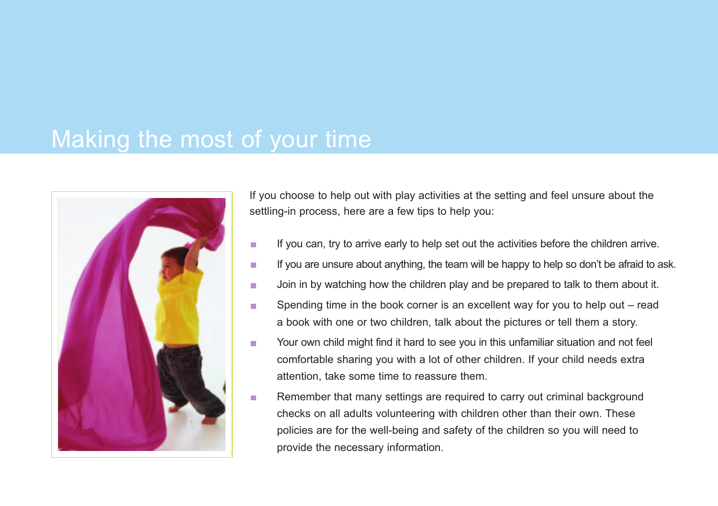# Making the most of your time



If you choose to help out with play activities at the setting and feel unsure about the settling-in process, here are a few tips to help you:

- If you can, try to arrive early to help set out the activities before the children arrive.  $\mathbf{r}$
- If you are unsure about anything, the team will be happy to help so don't be afraid to ask.  $\overline{\phantom{a}}$
- Join in by watching how the children play and be prepared to talk to them about it. m.
- Spending time in the book corner is an excellent way for you to help out read  $\overline{\phantom{a}}$ a book with one or two children, talk about the pictures or tell them a story.
- Your own child might find it hard to see you in this unfamiliar situation and not feel m. comfortable sharing you with a lot of other children. If your child needs extra attention, take some time to reassure them.
- Remember that many settings are required to carry out criminal background × checks on all adults volunteering with children other than their own. These policies are for the well-being and safety of the children so you will need to provide the necessary information.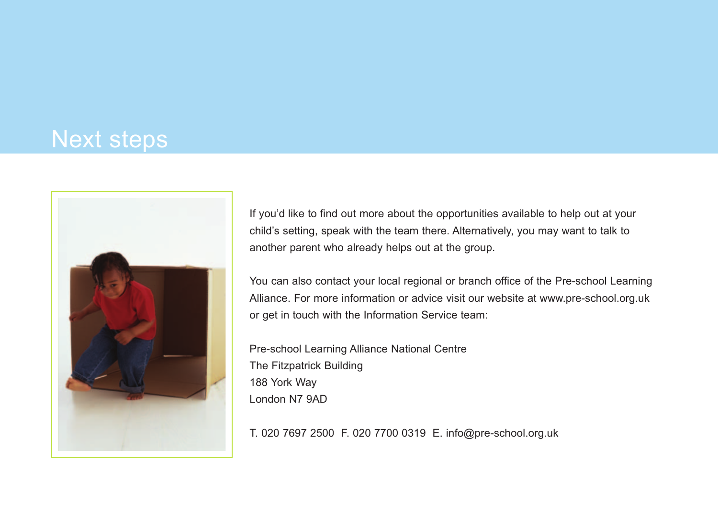### Next steps



If you'd like to find out more about the opportunities available to help out at your child's setting, speak with the team there. Alternatively, you may want to talk to another parent who already helps out at the group.

You can also contact your local regional or branch office of the Pre-school Learning Alliance. For more information or advice visit our website at www.pre-school.org.uk or get in touch with the Information Service team:

Pre-school Learning Alliance National Centre The Fitzpatrick Building 188 York Way London N7 9AD

T. 020 7697 2500 F. 020 7700 0319 E. info@pre-school.org.uk